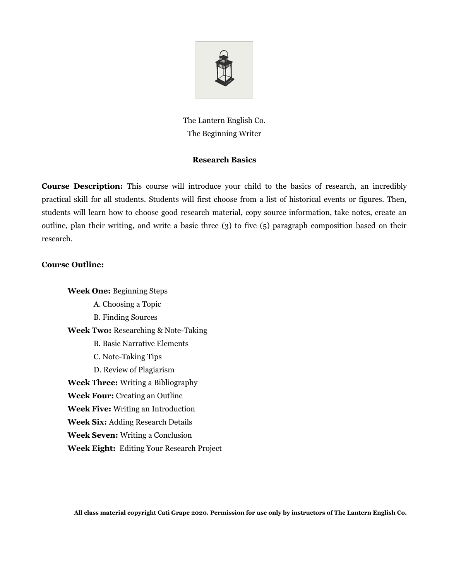

The Lantern English Co. The Beginning Writer

## **Research Basics**

**Course Description:** This course will introduce your child to the basics of research, an incredibly practical skill for all students. Students will first choose from a list of historical events or figures. Then, students will learn how to choose good research material, copy source information, take notes, create an outline, plan their writing, and write a basic three (3) to five (5) paragraph composition based on their research.

## **Course Outline:**

**Week One:** Beginning Steps A. Choosing a Topic B. Finding Sources **Week Two:** Researching & Note-Taking B. Basic Narrative Elements C. Note-Taking Tips D. Review of Plagiarism **Week Three:** Writing a Bibliography **Week Four:** Creating an Outline **Week Five:** Writing an Introduction **Week Six:** Adding Research Details **Week Seven:** Writing a Conclusion **Week Eight:** Editing Your Research Project

**All class material copyright Cati Grape 2020. Permission for use only by instructors of The Lantern English Co.**